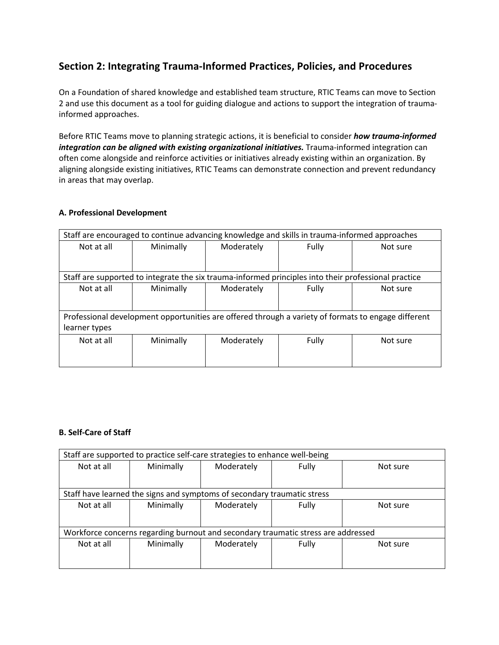# **Section 2: Integrating Trauma-Informed Practices, Policies, and Procedures**

On a Foundation of shared knowledge and established team structure, RTIC Teams can move to Section 2 and use this document as a tool for guiding dialogue and actions to support the integration of traumainformed approaches.

Before RTIC Teams move to planning strategic actions, it is beneficial to consider *how trauma-informed*  integration can be aligned with existing organizational initiatives. Trauma-informed integration can often come alongside and reinforce activities or initiatives already existing within an organization. By aligning alongside existing initiatives, RTIC Teams can demonstrate connection and prevent redundancy in areas that may overlap.

#### **A. Professional Development**

| Staff are encouraged to continue advancing knowledge and skills in trauma-informed approaches       |                                                                                                      |            |       |          |
|-----------------------------------------------------------------------------------------------------|------------------------------------------------------------------------------------------------------|------------|-------|----------|
| Not at all                                                                                          | Minimally                                                                                            | Moderately | Fully | Not sure |
|                                                                                                     |                                                                                                      |            |       |          |
|                                                                                                     |                                                                                                      |            |       |          |
|                                                                                                     | Staff are supported to integrate the six trauma-informed principles into their professional practice |            |       |          |
| Not at all                                                                                          | Minimally                                                                                            | Moderately | Fully | Not sure |
|                                                                                                     |                                                                                                      |            |       |          |
|                                                                                                     |                                                                                                      |            |       |          |
| Professional development opportunities are offered through a variety of formats to engage different |                                                                                                      |            |       |          |
| learner types                                                                                       |                                                                                                      |            |       |          |
| Not at all                                                                                          | Minimally                                                                                            | Moderately | Fully | Not sure |
|                                                                                                     |                                                                                                      |            |       |          |
|                                                                                                     |                                                                                                      |            |       |          |

#### **B. Self-Care of Staff**

| Staff are supported to practice self-care strategies to enhance well-being        |           |                                                                         |       |          |
|-----------------------------------------------------------------------------------|-----------|-------------------------------------------------------------------------|-------|----------|
| Not at all                                                                        | Minimally | Moderately                                                              | Fully | Not sure |
|                                                                                   |           |                                                                         |       |          |
|                                                                                   |           | Staff have learned the signs and symptoms of secondary traumatic stress |       |          |
| Not at all                                                                        | Minimally | Moderately                                                              | Fully | Not sure |
|                                                                                   |           |                                                                         |       |          |
| Workforce concerns regarding burnout and secondary traumatic stress are addressed |           |                                                                         |       |          |
| Not at all                                                                        | Minimally | Moderately                                                              | Fully | Not sure |
|                                                                                   |           |                                                                         |       |          |
|                                                                                   |           |                                                                         |       |          |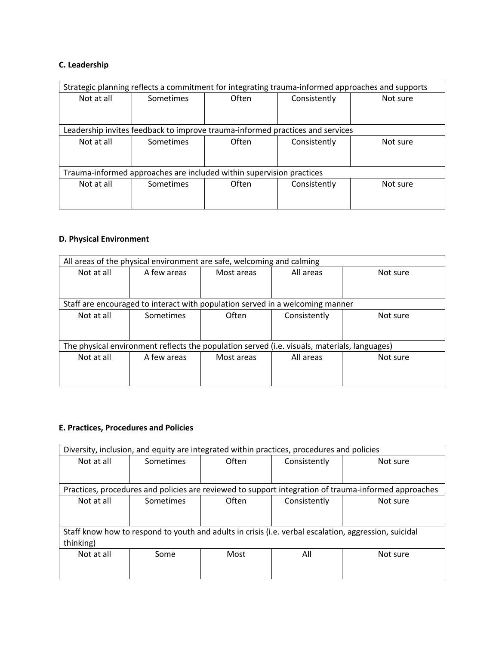## **C. Leadership**

| Strategic planning reflects a commitment for integrating trauma-informed approaches and supports |                                                                               |       |              |          |
|--------------------------------------------------------------------------------------------------|-------------------------------------------------------------------------------|-------|--------------|----------|
| Not at all                                                                                       | Sometimes                                                                     | Often | Consistently | Not sure |
|                                                                                                  |                                                                               |       |              |          |
|                                                                                                  |                                                                               |       |              |          |
|                                                                                                  | Leadership invites feedback to improve trauma-informed practices and services |       |              |          |
| Not at all                                                                                       | Sometimes                                                                     | Often | Consistently | Not sure |
|                                                                                                  |                                                                               |       |              |          |
|                                                                                                  |                                                                               |       |              |          |
| Trauma-informed approaches are included within supervision practices                             |                                                                               |       |              |          |
| Not at all                                                                                       | Sometimes                                                                     | Often | Consistently | Not sure |
|                                                                                                  |                                                                               |       |              |          |
|                                                                                                  |                                                                               |       |              |          |

### **D. Physical Environment**

| All areas of the physical environment are safe, welcoming and calming                        |            |              |                                                                               |  |  |
|----------------------------------------------------------------------------------------------|------------|--------------|-------------------------------------------------------------------------------|--|--|
| A few areas                                                                                  | Most areas | All areas    | Not sure                                                                      |  |  |
|                                                                                              |            |              |                                                                               |  |  |
|                                                                                              |            |              |                                                                               |  |  |
|                                                                                              |            |              |                                                                               |  |  |
| Sometimes                                                                                    | Often      | Consistently | Not sure                                                                      |  |  |
|                                                                                              |            |              |                                                                               |  |  |
|                                                                                              |            |              |                                                                               |  |  |
| The physical environment reflects the population served (i.e. visuals, materials, languages) |            |              |                                                                               |  |  |
| A few areas                                                                                  | Most areas | All areas    | Not sure                                                                      |  |  |
|                                                                                              |            |              |                                                                               |  |  |
|                                                                                              |            |              |                                                                               |  |  |
|                                                                                              |            |              | Staff are encouraged to interact with population served in a welcoming manner |  |  |

## **E. Practices, Procedures and Policies**

| Diversity, inclusion, and equity are integrated within practices, procedures and policies             |           |       |              |                                                                                                      |
|-------------------------------------------------------------------------------------------------------|-----------|-------|--------------|------------------------------------------------------------------------------------------------------|
| Not at all                                                                                            | Sometimes | Often | Consistently | Not sure                                                                                             |
|                                                                                                       |           |       |              |                                                                                                      |
|                                                                                                       |           |       |              |                                                                                                      |
|                                                                                                       |           |       |              | Practices, procedures and policies are reviewed to support integration of trauma-informed approaches |
| Not at all                                                                                            | Sometimes | Often | Consistently | Not sure                                                                                             |
|                                                                                                       |           |       |              |                                                                                                      |
|                                                                                                       |           |       |              |                                                                                                      |
| Staff know how to respond to youth and adults in crisis (i.e. verbal escalation, aggression, suicidal |           |       |              |                                                                                                      |
| thinking)                                                                                             |           |       |              |                                                                                                      |
| Not at all                                                                                            | Some      | Most  | All          | Not sure                                                                                             |
|                                                                                                       |           |       |              |                                                                                                      |
|                                                                                                       |           |       |              |                                                                                                      |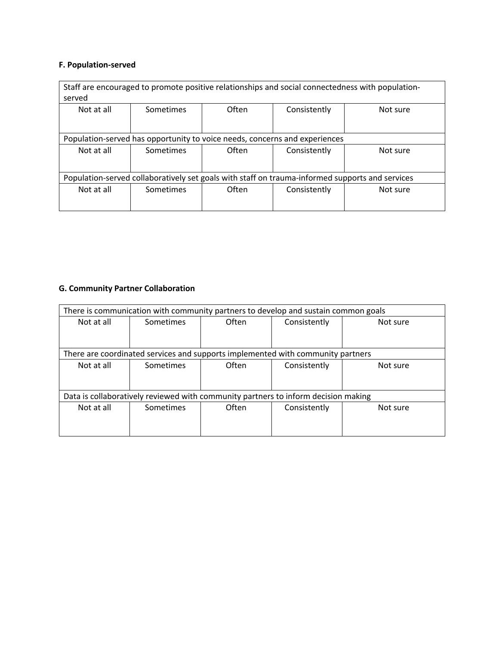## **F. Population-served**

| Staff are encouraged to promote positive relationships and social connectedness with population-<br>served |           |       |              |          |  |
|------------------------------------------------------------------------------------------------------------|-----------|-------|--------------|----------|--|
| Not at all                                                                                                 | Sometimes | Often | Consistently | Not sure |  |
| Population-served has opportunity to voice needs, concerns and experiences                                 |           |       |              |          |  |
| Not at all                                                                                                 | Sometimes | Often | Consistently | Not sure |  |
| Population-served collaboratively set goals with staff on trauma-informed supports and services            |           |       |              |          |  |
| Not at all                                                                                                 | Sometimes | Often | Consistently | Not sure |  |

## **G. Community Partner Collaboration**

| There is communication with community partners to develop and sustain common goals |                                                                                 |       |              |          |
|------------------------------------------------------------------------------------|---------------------------------------------------------------------------------|-------|--------------|----------|
| Not at all                                                                         | Sometimes                                                                       | Often | Consistently | Not sure |
|                                                                                    |                                                                                 |       |              |          |
|                                                                                    |                                                                                 |       |              |          |
|                                                                                    | There are coordinated services and supports implemented with community partners |       |              |          |
| Not at all                                                                         | Sometimes                                                                       | Often | Consistently | Not sure |
|                                                                                    |                                                                                 |       |              |          |
|                                                                                    |                                                                                 |       |              |          |
| Data is collaboratively reviewed with community partners to inform decision making |                                                                                 |       |              |          |
| Not at all                                                                         | Sometimes                                                                       | Often | Consistently | Not sure |
|                                                                                    |                                                                                 |       |              |          |
|                                                                                    |                                                                                 |       |              |          |
|                                                                                    |                                                                                 |       |              |          |